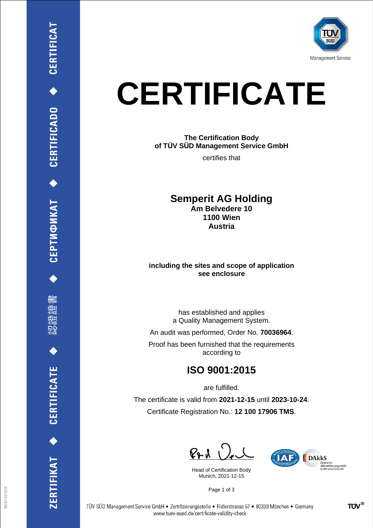

# **CERTIFICATE**

## **The Certification Body of TÜV SÜD Management Service GmbH**

certifies that

### **Semperit AG Holding Am Belvedere 10 1100 Wien Austria**

#### **including the sites and scope of application see enclosure**

has established and applies a Quality Management System.

An audit was performed, Order No. **70036964**.

Proof has been furnished that the requirements according to

# **ISO 9001:2015**

are fulfilled.

The certificate is valid from **2021-12-15** until **2023-10-24**. Certificate Registration No.: **12 100 17906 TMS**.

 $P + U$ 

Head of Certification Body Munich, 2021-12-15



Page 1 of 3

CEPTИФИКАТ ◆ CERTIFICADO ◆ CERTIFICAT

刪

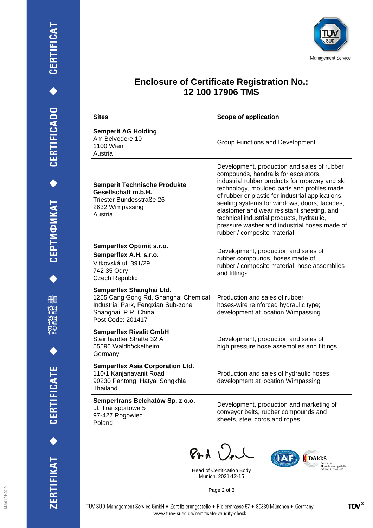$\ddot{\bullet}$ 

ZERTIFIKAT ◆ CERTIFICATE



## **Enclosure of Certificate Registration No.: 12 100 17906 TMS**

| <b>Sites</b>                                                                                                                                        | Scope of application                                                                                                                                                                                                                                                                                                                                                                                                                                                |
|-----------------------------------------------------------------------------------------------------------------------------------------------------|---------------------------------------------------------------------------------------------------------------------------------------------------------------------------------------------------------------------------------------------------------------------------------------------------------------------------------------------------------------------------------------------------------------------------------------------------------------------|
| <b>Semperit AG Holding</b><br>Am Belvedere 10<br>1100 Wien<br>Austria                                                                               | <b>Group Functions and Development</b>                                                                                                                                                                                                                                                                                                                                                                                                                              |
| <b>Semperit Technische Produkte</b><br>Gesellschaft m.b.H.<br>Triester Bundesstraße 26<br>2632 Wimpassing<br>Austria                                | Development, production and sales of rubber<br>compounds, handrails for escalators,<br>industrial rubber products for ropeway and ski<br>technology, moulded parts and profiles made<br>of rubber or plastic for industrial applications,<br>sealing systems for windows, doors, facades,<br>elastomer and wear resistant sheeting, and<br>technical industrial products, hydraulic,<br>pressure washer and industrial hoses made of<br>rubber / composite material |
| Semperflex Optimit s.r.o.<br>Semperflex A.H. s.r.o.<br>Vitkovská ul. 391/29<br>742 35 Odry<br><b>Czech Republic</b>                                 | Development, production and sales of<br>rubber compounds, hoses made of<br>rubber / composite material, hose assemblies<br>and fittings                                                                                                                                                                                                                                                                                                                             |
| Semperflex Shanghai Ltd.<br>1255 Cang Gong Rd, Shanghai Chemical<br>Industrial Park, Fengxian Sub-zone<br>Shanghai, P.R. China<br>Post Code: 201417 | Production and sales of rubber<br>hoses-wire reinforced hydraulic type;<br>development at location Wimpassing                                                                                                                                                                                                                                                                                                                                                       |
| <b>Semperflex Rivalit GmbH</b><br>Steinhardter Straße 32 A<br>55596 Waldböckelheim<br>Germany                                                       | Development, production and sales of<br>high pressure hose assemblies and fittings                                                                                                                                                                                                                                                                                                                                                                                  |
| <b>Semperflex Asia Corporation Ltd.</b><br>110/1 Kanjanavanit Road<br>90230 Pahtong, Hatyai Songkhla<br>Thailand                                    | Production and sales of hydraulic hoses;<br>development at location Wimpassing                                                                                                                                                                                                                                                                                                                                                                                      |
| Sempertrans Belchatów Sp. z o.o.<br>ul. Transportowa 5<br>97-427 Rogowiec<br>Poland                                                                 | Development, production and marketing of<br>conveyor belts, rubber compounds and<br>sheets, steel cords and ropes                                                                                                                                                                                                                                                                                                                                                   |

 $P_{P}$ d  $Q_{e}$ 

Head of Certification Body Munich, 2021-12-15



Page 2 of 3